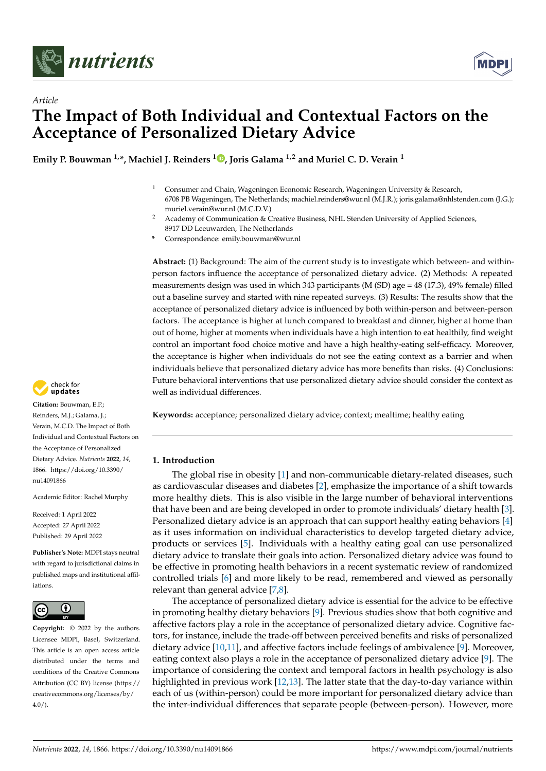



# *Article* **The Impact of Both Individual and Contextual Factors on the Acceptance of Personalized Dietary Advice**

**Emily P. Bouwman 1,\*, Machiel J. Reinders [1](https://orcid.org/0000-0001-8785-2852) , Joris Galama 1,2 and Muriel C. D. Verain <sup>1</sup>**

- <sup>1</sup> Consumer and Chain, Wageningen Economic Research, Wageningen University & Research, 6708 PB Wageningen, The Netherlands; machiel.reinders@wur.nl (M.J.R.); joris.galama@nhlstenden.com (J.G.); muriel.verain@wur.nl (M.C.D.V.)
- <sup>2</sup> Academy of Communication & Creative Business, NHL Stenden University of Applied Sciences, 8917 DD Leeuwarden, The Netherlands
- **\*** Correspondence: emily.bouwman@wur.nl

**Abstract:** (1) Background: The aim of the current study is to investigate which between- and withinperson factors influence the acceptance of personalized dietary advice. (2) Methods: A repeated measurements design was used in which 343 participants (M (SD) age = 48 (17.3), 49% female) filled out a baseline survey and started with nine repeated surveys. (3) Results: The results show that the acceptance of personalized dietary advice is influenced by both within-person and between-person factors. The acceptance is higher at lunch compared to breakfast and dinner, higher at home than out of home, higher at moments when individuals have a high intention to eat healthily, find weight control an important food choice motive and have a high healthy-eating self-efficacy. Moreover, the acceptance is higher when individuals do not see the eating context as a barrier and when individuals believe that personalized dietary advice has more benefits than risks. (4) Conclusions: Future behavioral interventions that use personalized dietary advice should consider the context as well as individual differences.

**Keywords:** acceptance; personalized dietary advice; context; mealtime; healthy eating

# **1. Introduction**

The global rise in obesity [\[1\]](#page-11-0) and non-communicable dietary-related diseases, such as cardiovascular diseases and diabetes [\[2\]](#page-11-1), emphasize the importance of a shift towards more healthy diets. This is also visible in the large number of behavioral interventions that have been and are being developed in order to promote individuals' dietary health [\[3\]](#page-11-2). Personalized dietary advice is an approach that can support healthy eating behaviors [\[4\]](#page-11-3) as it uses information on individual characteristics to develop targeted dietary advice, products or services [\[5\]](#page-11-4). Individuals with a healthy eating goal can use personalized dietary advice to translate their goals into action. Personalized dietary advice was found to be effective in promoting health behaviors in a recent systematic review of randomized controlled trials [\[6\]](#page-11-5) and more likely to be read, remembered and viewed as personally relevant than general advice [\[7](#page-12-0)[,8\]](#page-12-1).

The acceptance of personalized dietary advice is essential for the advice to be effective in promoting healthy dietary behaviors [\[9\]](#page-12-2). Previous studies show that both cognitive and affective factors play a role in the acceptance of personalized dietary advice. Cognitive factors, for instance, include the trade-off between perceived benefits and risks of personalized dietary advice [\[10](#page-12-3)[,11\]](#page-12-4), and affective factors include feelings of ambivalence [\[9\]](#page-12-2). Moreover, eating context also plays a role in the acceptance of personalized dietary advice [\[9\]](#page-12-2). The importance of considering the context and temporal factors in health psychology is also highlighted in previous work [\[12,](#page-12-5)[13\]](#page-12-6). The latter state that the day-to-day variance within each of us (within-person) could be more important for personalized dietary advice than the inter-individual differences that separate people (between-person). However, more



**Citation:** Bouwman, E.P.; Reinders, M.J.; Galama, J.; Verain, M.C.D. The Impact of Both Individual and Contextual Factors on the Acceptance of Personalized Dietary Advice. *Nutrients* **2022**, *14*, 1866. [https://doi.org/10.3390/](https://doi.org/10.3390/nu14091866) [nu14091866](https://doi.org/10.3390/nu14091866)

Academic Editor: Rachel Murphy

Received: 1 April 2022 Accepted: 27 April 2022 Published: 29 April 2022

**Publisher's Note:** MDPI stays neutral with regard to jurisdictional claims in published maps and institutional affiliations.



**Copyright:** © 2022 by the authors. Licensee MDPI, Basel, Switzerland. This article is an open access article distributed under the terms and conditions of the Creative Commons Attribution (CC BY) license [\(https://](https://creativecommons.org/licenses/by/4.0/) [creativecommons.org/licenses/by/](https://creativecommons.org/licenses/by/4.0/)  $4.0/$ ).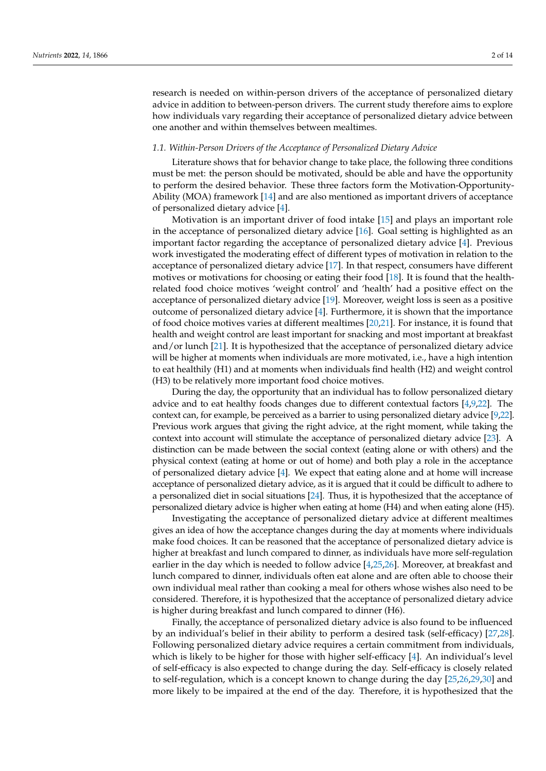research is needed on within-person drivers of the acceptance of personalized dietary advice in addition to between-person drivers. The current study therefore aims to explore how individuals vary regarding their acceptance of personalized dietary advice between one another and within themselves between mealtimes.

#### *1.1. Within-Person Drivers of the Acceptance of Personalized Dietary Advice*

Literature shows that for behavior change to take place, the following three conditions must be met: the person should be motivated, should be able and have the opportunity to perform the desired behavior. These three factors form the Motivation-Opportunity-Ability (MOA) framework [\[14\]](#page-12-7) and are also mentioned as important drivers of acceptance of personalized dietary advice [\[4\]](#page-11-3).

Motivation is an important driver of food intake [\[15\]](#page-12-8) and plays an important role in the acceptance of personalized dietary advice [\[16\]](#page-12-9). Goal setting is highlighted as an important factor regarding the acceptance of personalized dietary advice [\[4\]](#page-11-3). Previous work investigated the moderating effect of different types of motivation in relation to the acceptance of personalized dietary advice [\[17\]](#page-12-10). In that respect, consumers have different motives or motivations for choosing or eating their food [\[18\]](#page-12-11). It is found that the healthrelated food choice motives 'weight control' and 'health' had a positive effect on the acceptance of personalized dietary advice [\[19\]](#page-12-12). Moreover, weight loss is seen as a positive outcome of personalized dietary advice [\[4\]](#page-11-3). Furthermore, it is shown that the importance of food choice motives varies at different mealtimes [\[20,](#page-12-13)[21\]](#page-12-14). For instance, it is found that health and weight control are least important for snacking and most important at breakfast and/or lunch [\[21\]](#page-12-14). It is hypothesized that the acceptance of personalized dietary advice will be higher at moments when individuals are more motivated, i.e., have a high intention to eat healthily (H1) and at moments when individuals find health (H2) and weight control (H3) to be relatively more important food choice motives.

During the day, the opportunity that an individual has to follow personalized dietary advice and to eat healthy foods changes due to different contextual factors [\[4,](#page-11-3)[9](#page-12-2)[,22\]](#page-12-15). The context can, for example, be perceived as a barrier to using personalized dietary advice [\[9](#page-12-2)[,22\]](#page-12-15). Previous work argues that giving the right advice, at the right moment, while taking the context into account will stimulate the acceptance of personalized dietary advice [\[23\]](#page-12-16). A distinction can be made between the social context (eating alone or with others) and the physical context (eating at home or out of home) and both play a role in the acceptance of personalized dietary advice [\[4\]](#page-11-3). We expect that eating alone and at home will increase acceptance of personalized dietary advice, as it is argued that it could be difficult to adhere to a personalized diet in social situations [\[24\]](#page-12-17). Thus, it is hypothesized that the acceptance of personalized dietary advice is higher when eating at home (H4) and when eating alone (H5).

Investigating the acceptance of personalized dietary advice at different mealtimes gives an idea of how the acceptance changes during the day at moments where individuals make food choices. It can be reasoned that the acceptance of personalized dietary advice is higher at breakfast and lunch compared to dinner, as individuals have more self-regulation earlier in the day which is needed to follow advice [\[4,](#page-11-3)[25,](#page-12-18)[26\]](#page-12-19). Moreover, at breakfast and lunch compared to dinner, individuals often eat alone and are often able to choose their own individual meal rather than cooking a meal for others whose wishes also need to be considered. Therefore, it is hypothesized that the acceptance of personalized dietary advice is higher during breakfast and lunch compared to dinner (H6).

Finally, the acceptance of personalized dietary advice is also found to be influenced by an individual's belief in their ability to perform a desired task (self-efficacy) [\[27,](#page-12-20)[28\]](#page-12-21). Following personalized dietary advice requires a certain commitment from individuals, which is likely to be higher for those with higher self-efficacy [\[4\]](#page-11-3). An individual's level of self-efficacy is also expected to change during the day. Self-efficacy is closely related to self-regulation, which is a concept known to change during the day [\[25](#page-12-18)[,26](#page-12-19)[,29](#page-12-22)[,30\]](#page-12-23) and more likely to be impaired at the end of the day. Therefore, it is hypothesized that the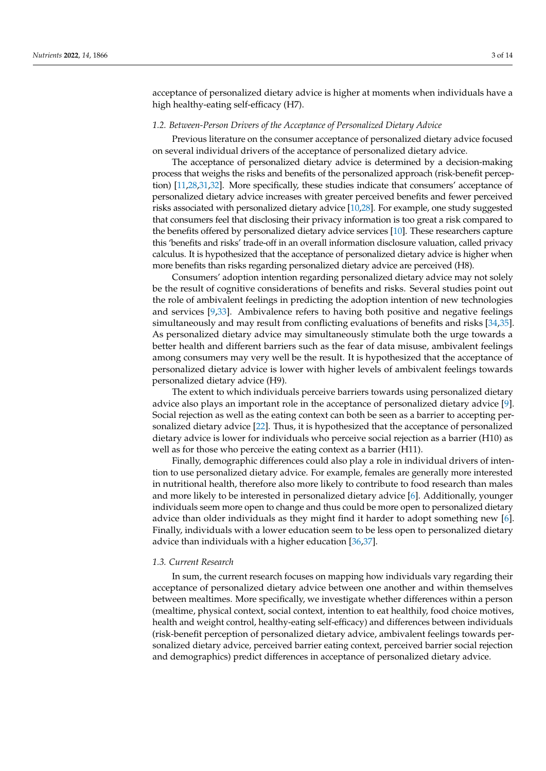acceptance of personalized dietary advice is higher at moments when individuals have a high healthy-eating self-efficacy (H7).

## *1.2. Between-Person Drivers of the Acceptance of Personalized Dietary Advice*

Previous literature on the consumer acceptance of personalized dietary advice focused on several individual drivers of the acceptance of personalized dietary advice.

The acceptance of personalized dietary advice is determined by a decision-making process that weighs the risks and benefits of the personalized approach (risk-benefit perception) [\[11](#page-12-4)[,28](#page-12-21)[,31](#page-12-24)[,32\]](#page-12-25). More specifically, these studies indicate that consumers' acceptance of personalized dietary advice increases with greater perceived benefits and fewer perceived risks associated with personalized dietary advice [\[10](#page-12-3)[,28\]](#page-12-21). For example, one study suggested that consumers feel that disclosing their privacy information is too great a risk compared to the benefits offered by personalized dietary advice services [\[10\]](#page-12-3). These researchers capture this 'benefits and risks' trade-off in an overall information disclosure valuation, called privacy calculus. It is hypothesized that the acceptance of personalized dietary advice is higher when more benefits than risks regarding personalized dietary advice are perceived (H8).

Consumers' adoption intention regarding personalized dietary advice may not solely be the result of cognitive considerations of benefits and risks. Several studies point out the role of ambivalent feelings in predicting the adoption intention of new technologies and services [\[9,](#page-12-2)[33\]](#page-12-26). Ambivalence refers to having both positive and negative feelings simultaneously and may result from conflicting evaluations of benefits and risks [\[34,](#page-13-0)[35\]](#page-13-1). As personalized dietary advice may simultaneously stimulate both the urge towards a better health and different barriers such as the fear of data misuse, ambivalent feelings among consumers may very well be the result. It is hypothesized that the acceptance of personalized dietary advice is lower with higher levels of ambivalent feelings towards personalized dietary advice (H9).

The extent to which individuals perceive barriers towards using personalized dietary advice also plays an important role in the acceptance of personalized dietary advice [\[9\]](#page-12-2). Social rejection as well as the eating context can both be seen as a barrier to accepting personalized dietary advice [\[22\]](#page-12-15). Thus, it is hypothesized that the acceptance of personalized dietary advice is lower for individuals who perceive social rejection as a barrier (H10) as well as for those who perceive the eating context as a barrier (H11).

Finally, demographic differences could also play a role in individual drivers of intention to use personalized dietary advice. For example, females are generally more interested in nutritional health, therefore also more likely to contribute to food research than males and more likely to be interested in personalized dietary advice [\[6\]](#page-11-5). Additionally, younger individuals seem more open to change and thus could be more open to personalized dietary advice than older individuals as they might find it harder to adopt something new [\[6\]](#page-11-5). Finally, individuals with a lower education seem to be less open to personalized dietary advice than individuals with a higher education [\[36](#page-13-2)[,37\]](#page-13-3).

## *1.3. Current Research*

In sum, the current research focuses on mapping how individuals vary regarding their acceptance of personalized dietary advice between one another and within themselves between mealtimes. More specifically, we investigate whether differences within a person (mealtime, physical context, social context, intention to eat healthily, food choice motives, health and weight control, healthy-eating self-efficacy) and differences between individuals (risk-benefit perception of personalized dietary advice, ambivalent feelings towards personalized dietary advice, perceived barrier eating context, perceived barrier social rejection and demographics) predict differences in acceptance of personalized dietary advice.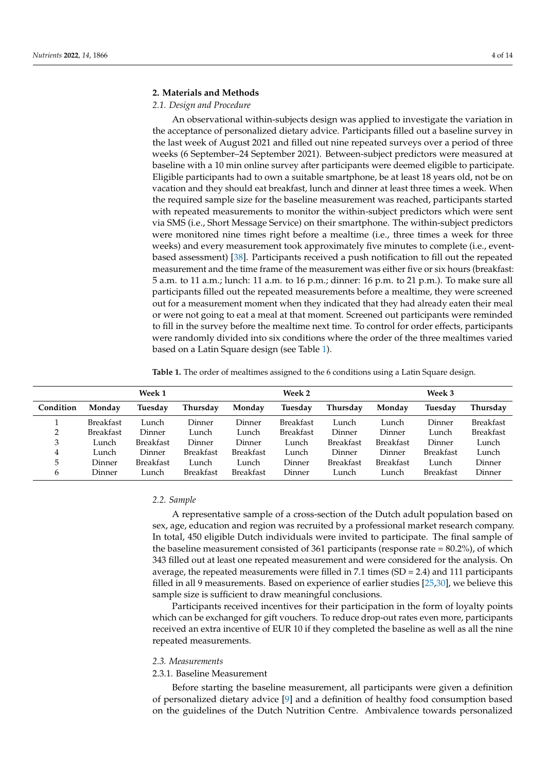# **2. Materials and Methods**

# *2.1. Design and Procedure*

An observational within-subjects design was applied to investigate the variation in the acceptance of personalized dietary advice. Participants filled out a baseline survey in the last week of August 2021 and filled out nine repeated surveys over a period of three weeks (6 September–24 September 2021). Between-subject predictors were measured at baseline with a 10 min online survey after participants were deemed eligible to participate. Eligible participants had to own a suitable smartphone, be at least 18 years old, not be on vacation and they should eat breakfast, lunch and dinner at least three times a week. When the required sample size for the baseline measurement was reached, participants started with repeated measurements to monitor the within-subject predictors which were sent via SMS (i.e., Short Message Service) on their smartphone. The within-subject predictors were monitored nine times right before a mealtime (i.e., three times a week for three weeks) and every measurement took approximately five minutes to complete (i.e., eventbased assessment) [\[38\]](#page-13-4). Participants received a push notification to fill out the repeated measurement and the time frame of the measurement was either five or six hours (breakfast: 5 a.m. to 11 a.m.; lunch: 11 a.m. to 16 p.m.; dinner: 16 p.m. to 21 p.m.). To make sure all participants filled out the repeated measurements before a mealtime, they were screened out for a measurement moment when they indicated that they had already eaten their meal or were not going to eat a meal at that moment. Screened out participants were reminded to fill in the survey before the mealtime next time. To control for order effects, participants were randomly divided into six conditions where the order of the three mealtimes varied based on a Latin Square design (see Table [1\)](#page-3-0).

<span id="page-3-0"></span>**Table 1.** The order of mealtimes assigned to the 6 conditions using a Latin Square design.

|           | Week 1           |                  |                  | Week 2           |                  |                  | Week 3           |                  |                  |  |
|-----------|------------------|------------------|------------------|------------------|------------------|------------------|------------------|------------------|------------------|--|
| Condition | Monday           | Tuesday          | Thursday         | Monday           | Tuesday          | Thursday         | Monday           | Tuesday          | Thursday         |  |
|           | <b>Breakfast</b> | Lunch            | Dinner           | Dinner           | <b>Breakfast</b> | Lunch            | Lunch            | Dinner           | <b>Breakfast</b> |  |
| າ         | <b>Breakfast</b> | Dinner           | Lunch            | Lunch            | <b>Breakfast</b> | Dinner           | Dinner           | Lunch            | <b>Breakfast</b> |  |
| 3         | Lunch            | <b>Breakfast</b> | Dinner           | Dinner           | Lunch            | <b>Breakfast</b> | <b>Breakfast</b> | Dinner           | Lunch            |  |
| 4         | Lunch            | Dinner           | <b>Breakfast</b> | <b>Breakfast</b> | Lunch            | Dinner           | Dinner           | <b>Breakfast</b> | Lunch            |  |
| 5         | Dinner           | <b>Breakfast</b> | Lunch            | Lunch            | Dinner           | <b>Breakfast</b> | <b>Breakfast</b> | Lunch            | Dinner           |  |
| 6         | Dinner           | Lunch            | Breakfast        | <b>Breakfast</b> | Dinner           | Lunch            | Lunch            | <b>Breakfast</b> | Dinner           |  |

## *2.2. Sample*

A representative sample of a cross-section of the Dutch adult population based on sex, age, education and region was recruited by a professional market research company. In total, 450 eligible Dutch individuals were invited to participate. The final sample of the baseline measurement consisted of 361 participants (response rate  $= 80.2\%$ ), of which 343 filled out at least one repeated measurement and were considered for the analysis. On average, the repeated measurements were filled in 7.1 times (SD = 2.4) and 111 participants filled in all 9 measurements. Based on experience of earlier studies [\[25](#page-12-18)[,30\]](#page-12-23), we believe this sample size is sufficient to draw meaningful conclusions.

Participants received incentives for their participation in the form of loyalty points which can be exchanged for gift vouchers. To reduce drop-out rates even more, participants received an extra incentive of EUR 10 if they completed the baseline as well as all the nine repeated measurements.

## *2.3. Measurements*

# 2.3.1. Baseline Measurement

Before starting the baseline measurement, all participants were given a definition of personalized dietary advice [\[9\]](#page-12-2) and a definition of healthy food consumption based on the guidelines of the Dutch Nutrition Centre. Ambivalence towards personalized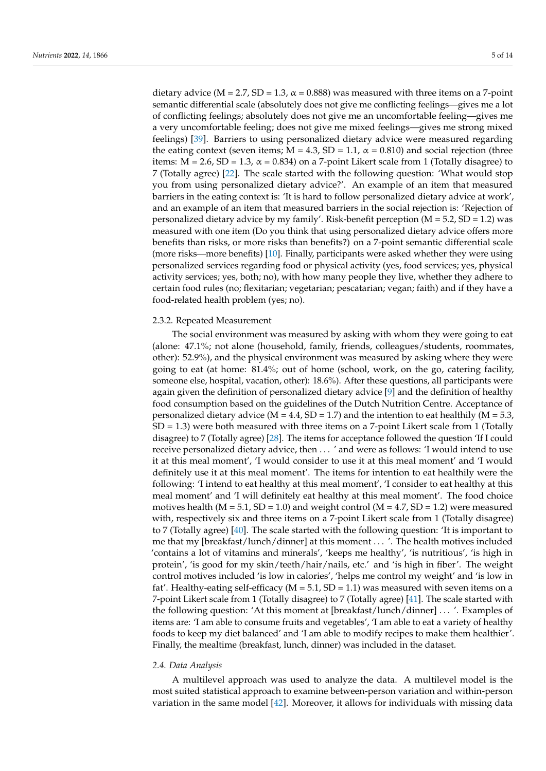dietary advice ( $M = 2.7$ ,  $SD = 1.3$ ,  $\alpha = 0.888$ ) was measured with three items on a 7-point semantic differential scale (absolutely does not give me conflicting feelings—gives me a lot of conflicting feelings; absolutely does not give me an uncomfortable feeling—gives me a very uncomfortable feeling; does not give me mixed feelings—gives me strong mixed feelings) [\[39\]](#page-13-5). Barriers to using personalized dietary advice were measured regarding the eating context (seven items;  $M = 4.3$ ,  $SD = 1.1$ ,  $\alpha = 0.810$ ) and social rejection (three items:  $M = 2.6$ ,  $SD = 1.3$ ,  $\alpha = 0.834$ ) on a 7-point Likert scale from 1 (Totally disagree) to 7 (Totally agree) [\[22\]](#page-12-15). The scale started with the following question: 'What would stop you from using personalized dietary advice?'. An example of an item that measured barriers in the eating context is: 'It is hard to follow personalized dietary advice at work', and an example of an item that measured barriers in the social rejection is: 'Rejection of personalized dietary advice by my family'. Risk-benefit perception  $(M = 5.2, SD = 1.2)$  was measured with one item (Do you think that using personalized dietary advice offers more benefits than risks, or more risks than benefits?) on a 7-point semantic differential scale (more risks—more benefits) [\[10\]](#page-12-3). Finally, participants were asked whether they were using personalized services regarding food or physical activity (yes, food services; yes, physical activity services; yes, both; no), with how many people they live, whether they adhere to certain food rules (no; flexitarian; vegetarian; pescatarian; vegan; faith) and if they have a food-related health problem (yes; no).

# 2.3.2. Repeated Measurement

The social environment was measured by asking with whom they were going to eat (alone: 47.1%; not alone (household, family, friends, colleagues/students, roommates, other): 52.9%), and the physical environment was measured by asking where they were going to eat (at home: 81.4%; out of home (school, work, on the go, catering facility, someone else, hospital, vacation, other): 18.6%). After these questions, all participants were again given the definition of personalized dietary advice [\[9\]](#page-12-2) and the definition of healthy food consumption based on the guidelines of the Dutch Nutrition Centre. Acceptance of personalized dietary advice ( $M = 4.4$ , SD = 1.7) and the intention to eat healthily ( $M = 5.3$ ,  $SD = 1.3$ ) were both measured with three items on a 7-point Likert scale from 1 (Totally disagree) to 7 (Totally agree) [\[28\]](#page-12-21). The items for acceptance followed the question 'If I could receive personalized dietary advice, then . . . ' and were as follows: 'I would intend to use it at this meal moment', 'I would consider to use it at this meal moment' and 'I would definitely use it at this meal moment'. The items for intention to eat healthily were the following: 'I intend to eat healthy at this meal moment', 'I consider to eat healthy at this meal moment' and 'I will definitely eat healthy at this meal moment'. The food choice motives health  $(M = 5.1, SD = 1.0)$  and weight control  $(M = 4.7, SD = 1.2)$  were measured with, respectively six and three items on a 7-point Likert scale from 1 (Totally disagree) to 7 (Totally agree) [\[40\]](#page-13-6). The scale started with the following question: 'It is important to me that my [breakfast/lunch/dinner] at this moment . . . '. The health motives included 'contains a lot of vitamins and minerals', 'keeps me healthy', 'is nutritious', 'is high in protein', 'is good for my skin/teeth/hair/nails, etc.' and 'is high in fiber'. The weight control motives included 'is low in calories', 'helps me control my weight' and 'is low in fat'. Healthy-eating self-efficacy ( $M = 5.1$ ,  $SD = 1.1$ ) was measured with seven items on a 7-point Likert scale from 1 (Totally disagree) to 7 (Totally agree) [\[41\]](#page-13-7). The scale started with the following question: 'At this moment at [breakfast/lunch/dinner] . . . '. Examples of items are: 'I am able to consume fruits and vegetables', 'I am able to eat a variety of healthy foods to keep my diet balanced' and 'I am able to modify recipes to make them healthier'. Finally, the mealtime (breakfast, lunch, dinner) was included in the dataset.

## *2.4. Data Analysis*

A multilevel approach was used to analyze the data. A multilevel model is the most suited statistical approach to examine between-person variation and within-person variation in the same model [\[42\]](#page-13-8). Moreover, it allows for individuals with missing data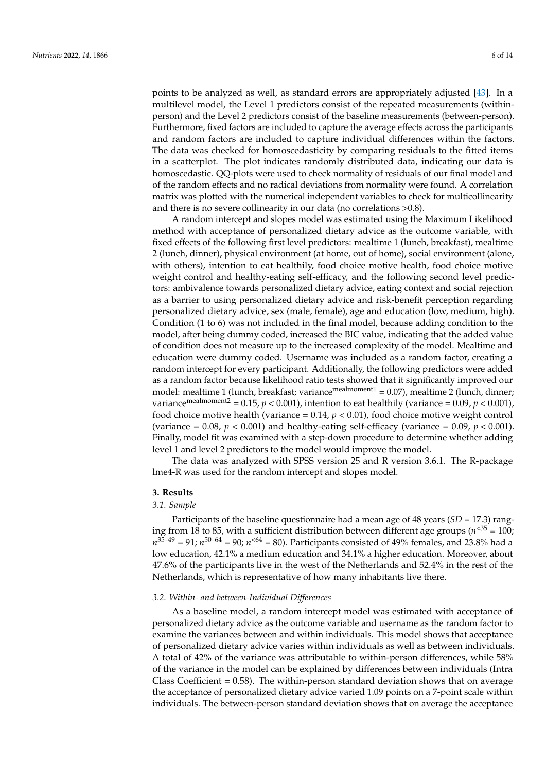points to be analyzed as well, as standard errors are appropriately adjusted [\[43\]](#page-13-9). In a multilevel model, the Level 1 predictors consist of the repeated measurements (withinperson) and the Level 2 predictors consist of the baseline measurements (between-person). Furthermore, fixed factors are included to capture the average effects across the participants and random factors are included to capture individual differences within the factors. The data was checked for homoscedasticity by comparing residuals to the fitted items in a scatterplot. The plot indicates randomly distributed data, indicating our data is homoscedastic. QQ-plots were used to check normality of residuals of our final model and of the random effects and no radical deviations from normality were found. A correlation matrix was plotted with the numerical independent variables to check for multicollinearity and there is no severe collinearity in our data (no correlations >0.8).

A random intercept and slopes model was estimated using the Maximum Likelihood method with acceptance of personalized dietary advice as the outcome variable, with fixed effects of the following first level predictors: mealtime 1 (lunch, breakfast), mealtime 2 (lunch, dinner), physical environment (at home, out of home), social environment (alone, with others), intention to eat healthily, food choice motive health, food choice motive weight control and healthy-eating self-efficacy, and the following second level predictors: ambivalence towards personalized dietary advice, eating context and social rejection as a barrier to using personalized dietary advice and risk-benefit perception regarding personalized dietary advice, sex (male, female), age and education (low, medium, high). Condition (1 to 6) was not included in the final model, because adding condition to the model, after being dummy coded, increased the BIC value, indicating that the added value of condition does not measure up to the increased complexity of the model. Mealtime and education were dummy coded. Username was included as a random factor, creating a random intercept for every participant. Additionally, the following predictors were added as a random factor because likelihood ratio tests showed that it significantly improved our model: mealtime 1 (lunch, breakfast; variance<sup>mealmoment1</sup> =  $0.07$ ), mealtime 2 (lunch, dinner; variance<sup>mealmoment2</sup> = 0.15,  $p$  < 0.001), intention to eat healthily (variance = 0.09,  $p$  < 0.001), food choice motive health (variance  $= 0.14$ ,  $p < 0.01$ ), food choice motive weight control (variance  $= 0.08$ ,  $p < 0.001$ ) and healthy-eating self-efficacy (variance  $= 0.09$ ,  $p < 0.001$ ). Finally, model fit was examined with a step-down procedure to determine whether adding level 1 and level 2 predictors to the model would improve the model.

The data was analyzed with SPSS version 25 and R version 3.6.1. The R-package lme4-R was used for the random intercept and slopes model.

## **3. Results**

## *3.1. Sample*

Participants of the baseline questionnaire had a mean age of 48 years (*SD* = 17.3) ranging from 18 to 85, with a sufficient distribution between different age groups ( $n^{<35}$  = 100;  $n^{35-49}$  = 91;  $n^{50-64}$  = 90;  $n^{< 64}$  = 80). Participants consisted of 49% females, and 23.8% had a low education, 42.1% a medium education and 34.1% a higher education. Moreover, about 47.6% of the participants live in the west of the Netherlands and 52.4% in the rest of the Netherlands, which is representative of how many inhabitants live there.

#### *3.2. Within- and between-Individual Differences*

As a baseline model, a random intercept model was estimated with acceptance of personalized dietary advice as the outcome variable and username as the random factor to examine the variances between and within individuals. This model shows that acceptance of personalized dietary advice varies within individuals as well as between individuals. A total of 42% of the variance was attributable to within-person differences, while 58% of the variance in the model can be explained by differences between individuals (Intra Class Coefficient  $= 0.58$ ). The within-person standard deviation shows that on average the acceptance of personalized dietary advice varied 1.09 points on a 7-point scale within individuals. The between-person standard deviation shows that on average the acceptance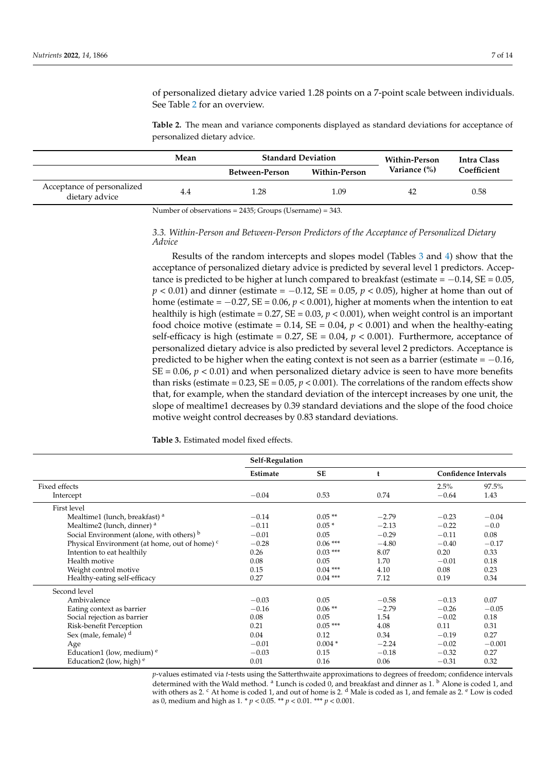of personalized dietary advice varied 1.28 points on a 7-point scale between individuals. See Table [2](#page-6-0) for an overview.

<span id="page-6-0"></span>**Table 2.** The mean and variance components displayed as standard deviations for acceptance of personalized dietary advice.

|                                              | Mean | <b>Standard Deviation</b> |                      | Within-Person | Intra Class |  |
|----------------------------------------------|------|---------------------------|----------------------|---------------|-------------|--|
|                                              |      | Between-Person            | <b>Within-Person</b> | Variance (%)  | Coefficient |  |
| Acceptance of personalized<br>dietary advice | 4.4  | l.28                      | 1.09                 |               | 0.58        |  |

Number of observations = 2435; Groups (Username) = 343.

# *3.3. Within-Person and Between-Person Predictors of the Acceptance of Personalized Dietary Advice*

Results of the random intercepts and slopes model (Tables [3](#page-6-1) and [4\)](#page-7-0) show that the acceptance of personalized dietary advice is predicted by several level 1 predictors. Acceptance is predicted to be higher at lunch compared to breakfast (estimate =  $-0.14$ , SE = 0.05, *p* < 0.01) and dinner (estimate = −0.12, SE = 0.05, *p* < 0.05), higher at home than out of home (estimate =  $-0.27$ , SE = 0.06,  $p < 0.001$ ), higher at moments when the intention to eat healthily is high (estimate =  $0.27$ , SE =  $0.03$ ,  $p < 0.001$ ), when weight control is an important food choice motive (estimate =  $0.14$ , SE =  $0.04$ ,  $p < 0.001$ ) and when the healthy-eating self-efficacy is high (estimate =  $0.27$ , SE =  $0.04$ ,  $p < 0.001$ ). Furthermore, acceptance of personalized dietary advice is also predicted by several level 2 predictors. Acceptance is predicted to be higher when the eating context is not seen as a barrier (estimate =  $-0.16$ ,  $SE = 0.06$ ,  $p < 0.01$ ) and when personalized dietary advice is seen to have more benefits than risks (estimate =  $0.23$ , SE =  $0.05$ ,  $p < 0.001$ ). The correlations of the random effects show that, for example, when the standard deviation of the intercept increases by one unit, the slope of mealtime1 decreases by 0.39 standard deviations and the slope of the food choice motive weight control decreases by 0.83 standard deviations.

<span id="page-6-1"></span>**Table 3.** Estimated model fixed effects.

|                                                          | Self-Regulation |           |         |                             |          |  |
|----------------------------------------------------------|-----------------|-----------|---------|-----------------------------|----------|--|
|                                                          | Estimate        | <b>SE</b> | t       | <b>Confidence Intervals</b> |          |  |
| Fixed effects                                            |                 |           |         | 2.5%                        | 97.5%    |  |
| Intercept                                                | $-0.04$         | 0.53      | 0.74    | $-0.64$                     | 1.43     |  |
| <b>First level</b>                                       |                 |           |         |                             |          |  |
| Mealtime1 (lunch, breakfast) <sup>a</sup>                | $-0.14$         | $0.05**$  | $-2.79$ | $-0.23$                     | $-0.04$  |  |
| Mealtime2 (lunch, dinner) <sup>a</sup>                   | $-0.11$         | $0.05*$   | $-2.13$ | $-0.22$                     | $-0.0$   |  |
| Social Environment (alone, with others) b                | $-0.01$         | 0.05      | $-0.29$ | $-0.11$                     | 0.08     |  |
| Physical Environment (at home, out of home) <sup>c</sup> | $-0.28$         | $0.06***$ | $-4.80$ | $-0.40$                     | $-0.17$  |  |
| Intention to eat healthily                               | 0.26            | $0.03***$ | 8.07    | 0.20                        | 0.33     |  |
| Health motive                                            | 0.08            | 0.05      | 1.70    | $-0.01$                     | 0.18     |  |
| Weight control motive                                    | 0.15            | $0.04***$ | 4.10    | 0.08                        | 0.23     |  |
| Healthy-eating self-efficacy                             | 0.27            | $0.04***$ | 7.12    | 0.19                        | 0.34     |  |
| Second level                                             |                 |           |         |                             |          |  |
| Ambivalence                                              | $-0.03$         | 0.05      | $-0.58$ | $-0.13$                     | 0.07     |  |
| Eating context as barrier                                | $-0.16$         | $0.06**$  | $-2.79$ | $-0.26$                     | $-0.05$  |  |
| Social rejection as barrier                              | 0.08            | 0.05      | 1.54    | $-0.02$                     | 0.18     |  |
| Risk-benefit Perception                                  | 0.21            | $0.05***$ | 4.08    | 0.11                        | 0.31     |  |
| Sex (male, female) <sup>d</sup>                          | 0.04            | 0.12      | 0.34    | $-0.19$                     | 0.27     |  |
| Age                                                      | $-0.01$         | $0.004*$  | $-2.24$ | $-0.02$                     | $-0.001$ |  |
| Education1 (low, medium) $e$                             | $-0.03$         | 0.15      | $-0.18$ | $-0.32$                     | 0.27     |  |
| Education2 (low, high) $e$                               | 0.01            | 0.16      | 0.06    | $-0.31$                     | 0.32     |  |

*p*-values estimated via *t*-tests using the Satterthwaite approximations to degrees of freedom; confidence intervals determined with the Wald method. <sup>a</sup> Lunch is coded 0, and breakfast and dinner as 1. <sup>b</sup> Alone is coded 1, and with others as 2. <sup>c</sup> At home is coded 1, and out of home is 2. <sup>d</sup> Male is coded as 1, and female as 2. <sup>e</sup> Low is coded as 0, medium and high as 1. \* *p* < 0.05. \*\* *p* < 0.01. \*\*\* *p* < 0.001.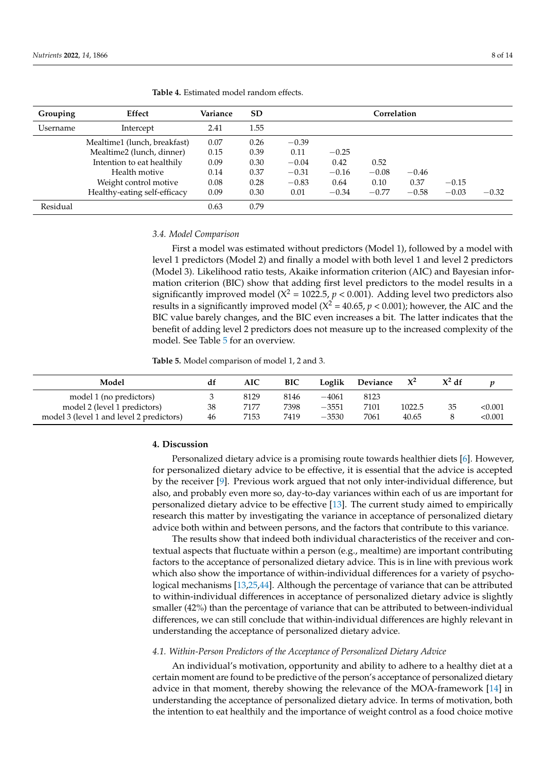**Grouping Effect Variance SD Correlation** Username Intercept 2.41 1.55 Mealtime1 (lunch, breakfast)  $0.07$   $0.26$   $-0.39$ Mealtime2 (lunch, dinner) 0.15 0.39 0.11 −0.25 Intention to eat healthily 0.09 0.30 −0.04 0.42 0.52 Health motive  $0.14$   $0.37$   $-0.31$   $-0.16$   $-0.08$   $-0.46$ Weight control motive 0.08 0.28 −0.83 0.64 0.10 0.37 −0.15 Healthy-eating self-efficacy 0.09 0.30 0.01 −0.34 −0.77 −0.58 −0.03 −0.32 Residual 6.63 0.79

<span id="page-7-0"></span>**Table 4.** Estimated model random effects.

# *3.4. Model Comparison*

First a model was estimated without predictors (Model 1), followed by a model with level 1 predictors (Model 2) and finally a model with both level 1 and level 2 predictors (Model 3). Likelihood ratio tests, Akaike information criterion (AIC) and Bayesian information criterion (BIC) show that adding first level predictors to the model results in a significantly improved model ( $X^2$  = 1022.5,  $p$  < 0.001). Adding level two predictors also results in a significantly improved model ( $X^2 = 40.65$ ,  $p < 0.001$ ); however, the AIC and the BIC value barely changes, and the BIC even increases a bit. The latter indicates that the benefit of adding level 2 predictors does not measure up to the increased complexity of the model. See Table [5](#page-7-1) for an overview.

<span id="page-7-1"></span>**Table 5.** Model comparison of model 1, 2 and 3.

| Model                                    | df | <b>AIC</b> | <b>BIC</b> | Loglik  | Deviance |        | $X^2 df$ |        |
|------------------------------------------|----|------------|------------|---------|----------|--------|----------|--------|
| model 1 (no predictors)                  |    | 8129       | 8146       | $-4061$ | 8123     |        |          |        |
| model 2 (level 1 predictors)             | 38 | 7177       | 7398       | $-3551$ | 7101     | 1022.5 | 35       | <0.001 |
| model 3 (level 1 and level 2 predictors) | 46 | 7153       | 7419       | $-3530$ | 7061     | 40.65  |          | <0.001 |

# **4. Discussion**

Personalized dietary advice is a promising route towards healthier diets [\[6\]](#page-11-5). However, for personalized dietary advice to be effective, it is essential that the advice is accepted by the receiver [\[9\]](#page-12-2). Previous work argued that not only inter-individual difference, but also, and probably even more so, day-to-day variances within each of us are important for personalized dietary advice to be effective [\[13\]](#page-12-6). The current study aimed to empirically research this matter by investigating the variance in acceptance of personalized dietary advice both within and between persons, and the factors that contribute to this variance.

The results show that indeed both individual characteristics of the receiver and contextual aspects that fluctuate within a person (e.g., mealtime) are important contributing factors to the acceptance of personalized dietary advice. This is in line with previous work which also show the importance of within-individual differences for a variety of psychological mechanisms [\[13](#page-12-6)[,25](#page-12-18)[,44\]](#page-13-10). Although the percentage of variance that can be attributed to within-individual differences in acceptance of personalized dietary advice is slightly smaller (42%) than the percentage of variance that can be attributed to between-individual differences, we can still conclude that within-individual differences are highly relevant in understanding the acceptance of personalized dietary advice.

## *4.1. Within-Person Predictors of the Acceptance of Personalized Dietary Advice*

An individual's motivation, opportunity and ability to adhere to a healthy diet at a certain moment are found to be predictive of the person's acceptance of personalized dietary advice in that moment, thereby showing the relevance of the MOA-framework [\[14\]](#page-12-7) in understanding the acceptance of personalized dietary advice. In terms of motivation, both the intention to eat healthily and the importance of weight control as a food choice motive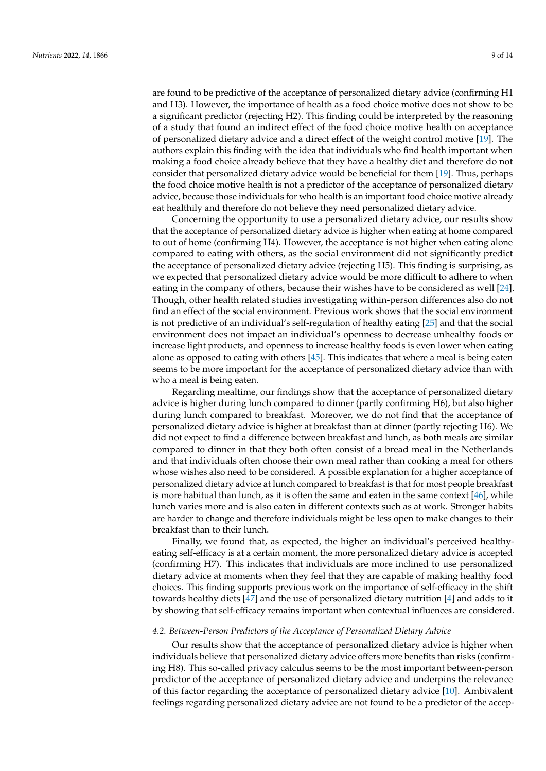are found to be predictive of the acceptance of personalized dietary advice (confirming H1 and H3). However, the importance of health as a food choice motive does not show to be a significant predictor (rejecting H2). This finding could be interpreted by the reasoning of a study that found an indirect effect of the food choice motive health on acceptance of personalized dietary advice and a direct effect of the weight control motive [\[19\]](#page-12-12). The authors explain this finding with the idea that individuals who find health important when making a food choice already believe that they have a healthy diet and therefore do not consider that personalized dietary advice would be beneficial for them [\[19\]](#page-12-12). Thus, perhaps the food choice motive health is not a predictor of the acceptance of personalized dietary advice, because those individuals for who health is an important food choice motive already eat healthily and therefore do not believe they need personalized dietary advice.

Concerning the opportunity to use a personalized dietary advice, our results show that the acceptance of personalized dietary advice is higher when eating at home compared to out of home (confirming H4). However, the acceptance is not higher when eating alone compared to eating with others, as the social environment did not significantly predict the acceptance of personalized dietary advice (rejecting H5). This finding is surprising, as we expected that personalized dietary advice would be more difficult to adhere to when eating in the company of others, because their wishes have to be considered as well [\[24\]](#page-12-17). Though, other health related studies investigating within-person differences also do not find an effect of the social environment. Previous work shows that the social environment is not predictive of an individual's self-regulation of healthy eating [\[25\]](#page-12-18) and that the social environment does not impact an individual's openness to decrease unhealthy foods or increase light products, and openness to increase healthy foods is even lower when eating alone as opposed to eating with others [\[45\]](#page-13-11). This indicates that where a meal is being eaten seems to be more important for the acceptance of personalized dietary advice than with who a meal is being eaten.

Regarding mealtime, our findings show that the acceptance of personalized dietary advice is higher during lunch compared to dinner (partly confirming H6), but also higher during lunch compared to breakfast. Moreover, we do not find that the acceptance of personalized dietary advice is higher at breakfast than at dinner (partly rejecting H6). We did not expect to find a difference between breakfast and lunch, as both meals are similar compared to dinner in that they both often consist of a bread meal in the Netherlands and that individuals often choose their own meal rather than cooking a meal for others whose wishes also need to be considered. A possible explanation for a higher acceptance of personalized dietary advice at lunch compared to breakfast is that for most people breakfast is more habitual than lunch, as it is often the same and eaten in the same context  $[46]$ , while lunch varies more and is also eaten in different contexts such as at work. Stronger habits are harder to change and therefore individuals might be less open to make changes to their breakfast than to their lunch.

Finally, we found that, as expected, the higher an individual's perceived healthyeating self-efficacy is at a certain moment, the more personalized dietary advice is accepted (confirming H7). This indicates that individuals are more inclined to use personalized dietary advice at moments when they feel that they are capable of making healthy food choices. This finding supports previous work on the importance of self-efficacy in the shift towards healthy diets [\[47\]](#page-13-13) and the use of personalized dietary nutrition [\[4\]](#page-11-3) and adds to it by showing that self-efficacy remains important when contextual influences are considered.

# *4.2. Between-Person Predictors of the Acceptance of Personalized Dietary Advice*

Our results show that the acceptance of personalized dietary advice is higher when individuals believe that personalized dietary advice offers more benefits than risks (confirming H8). This so-called privacy calculus seems to be the most important between-person predictor of the acceptance of personalized dietary advice and underpins the relevance of this factor regarding the acceptance of personalized dietary advice [\[10\]](#page-12-3). Ambivalent feelings regarding personalized dietary advice are not found to be a predictor of the accep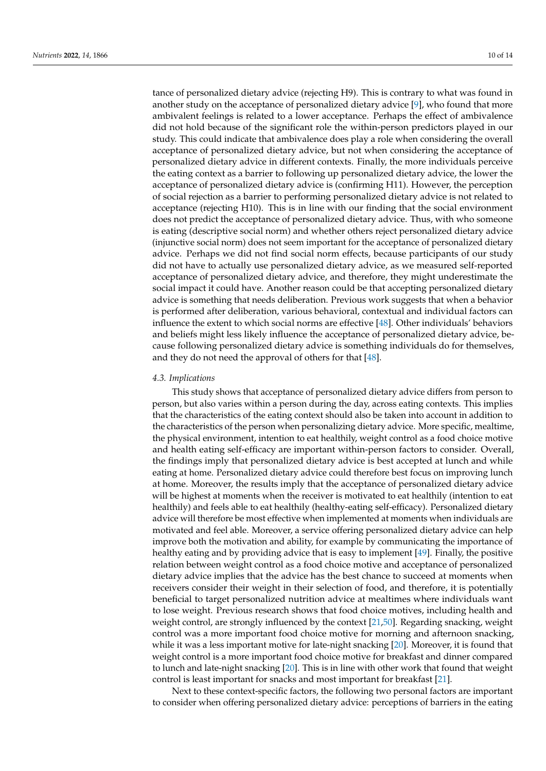tance of personalized dietary advice (rejecting H9). This is contrary to what was found in another study on the acceptance of personalized dietary advice [\[9\]](#page-12-2), who found that more ambivalent feelings is related to a lower acceptance. Perhaps the effect of ambivalence did not hold because of the significant role the within-person predictors played in our study. This could indicate that ambivalence does play a role when considering the overall acceptance of personalized dietary advice, but not when considering the acceptance of personalized dietary advice in different contexts. Finally, the more individuals perceive the eating context as a barrier to following up personalized dietary advice, the lower the acceptance of personalized dietary advice is (confirming H11). However, the perception of social rejection as a barrier to performing personalized dietary advice is not related to acceptance (rejecting H10). This is in line with our finding that the social environment does not predict the acceptance of personalized dietary advice. Thus, with who someone is eating (descriptive social norm) and whether others reject personalized dietary advice (injunctive social norm) does not seem important for the acceptance of personalized dietary advice. Perhaps we did not find social norm effects, because participants of our study did not have to actually use personalized dietary advice, as we measured self-reported acceptance of personalized dietary advice, and therefore, they might underestimate the social impact it could have. Another reason could be that accepting personalized dietary advice is something that needs deliberation. Previous work suggests that when a behavior is performed after deliberation, various behavioral, contextual and individual factors can influence the extent to which social norms are effective [\[48\]](#page-13-14). Other individuals' behaviors and beliefs might less likely influence the acceptance of personalized dietary advice, because following personalized dietary advice is something individuals do for themselves, and they do not need the approval of others for that [\[48\]](#page-13-14).

## *4.3. Implications*

This study shows that acceptance of personalized dietary advice differs from person to person, but also varies within a person during the day, across eating contexts. This implies that the characteristics of the eating context should also be taken into account in addition to the characteristics of the person when personalizing dietary advice. More specific, mealtime, the physical environment, intention to eat healthily, weight control as a food choice motive and health eating self-efficacy are important within-person factors to consider. Overall, the findings imply that personalized dietary advice is best accepted at lunch and while eating at home. Personalized dietary advice could therefore best focus on improving lunch at home. Moreover, the results imply that the acceptance of personalized dietary advice will be highest at moments when the receiver is motivated to eat healthily (intention to eat healthily) and feels able to eat healthily (healthy-eating self-efficacy). Personalized dietary advice will therefore be most effective when implemented at moments when individuals are motivated and feel able. Moreover, a service offering personalized dietary advice can help improve both the motivation and ability, for example by communicating the importance of healthy eating and by providing advice that is easy to implement [\[49\]](#page-13-15). Finally, the positive relation between weight control as a food choice motive and acceptance of personalized dietary advice implies that the advice has the best chance to succeed at moments when receivers consider their weight in their selection of food, and therefore, it is potentially beneficial to target personalized nutrition advice at mealtimes where individuals want to lose weight. Previous research shows that food choice motives, including health and weight control, are strongly influenced by the context [\[21](#page-12-14)[,50\]](#page-13-16). Regarding snacking, weight control was a more important food choice motive for morning and afternoon snacking, while it was a less important motive for late-night snacking [\[20\]](#page-12-13). Moreover, it is found that weight control is a more important food choice motive for breakfast and dinner compared to lunch and late-night snacking [\[20\]](#page-12-13). This is in line with other work that found that weight control is least important for snacks and most important for breakfast [\[21\]](#page-12-14).

Next to these context-specific factors, the following two personal factors are important to consider when offering personalized dietary advice: perceptions of barriers in the eating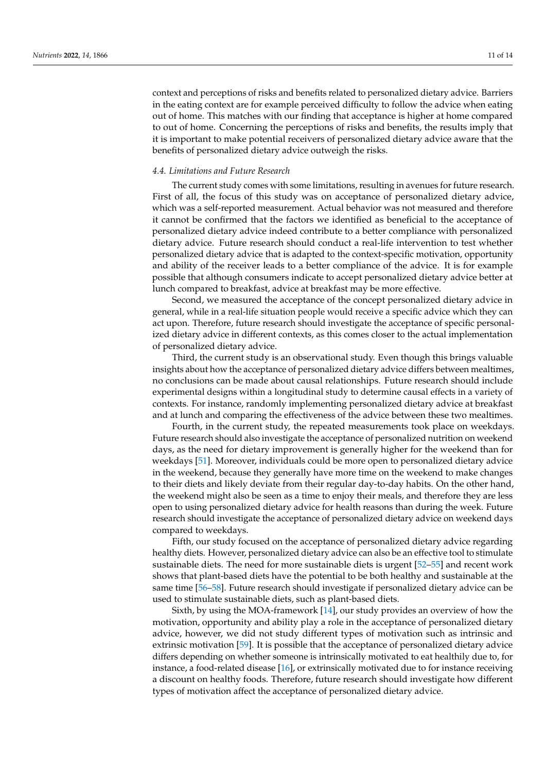context and perceptions of risks and benefits related to personalized dietary advice. Barriers in the eating context are for example perceived difficulty to follow the advice when eating out of home. This matches with our finding that acceptance is higher at home compared to out of home. Concerning the perceptions of risks and benefits, the results imply that it is important to make potential receivers of personalized dietary advice aware that the benefits of personalized dietary advice outweigh the risks.

#### *4.4. Limitations and Future Research*

The current study comes with some limitations, resulting in avenues for future research. First of all, the focus of this study was on acceptance of personalized dietary advice, which was a self-reported measurement. Actual behavior was not measured and therefore it cannot be confirmed that the factors we identified as beneficial to the acceptance of personalized dietary advice indeed contribute to a better compliance with personalized dietary advice. Future research should conduct a real-life intervention to test whether personalized dietary advice that is adapted to the context-specific motivation, opportunity and ability of the receiver leads to a better compliance of the advice. It is for example possible that although consumers indicate to accept personalized dietary advice better at lunch compared to breakfast, advice at breakfast may be more effective.

Second, we measured the acceptance of the concept personalized dietary advice in general, while in a real-life situation people would receive a specific advice which they can act upon. Therefore, future research should investigate the acceptance of specific personalized dietary advice in different contexts, as this comes closer to the actual implementation of personalized dietary advice.

Third, the current study is an observational study. Even though this brings valuable insights about how the acceptance of personalized dietary advice differs between mealtimes, no conclusions can be made about causal relationships. Future research should include experimental designs within a longitudinal study to determine causal effects in a variety of contexts. For instance, randomly implementing personalized dietary advice at breakfast and at lunch and comparing the effectiveness of the advice between these two mealtimes.

Fourth, in the current study, the repeated measurements took place on weekdays. Future research should also investigate the acceptance of personalized nutrition on weekend days, as the need for dietary improvement is generally higher for the weekend than for weekdays [\[51\]](#page-13-17). Moreover, individuals could be more open to personalized dietary advice in the weekend, because they generally have more time on the weekend to make changes to their diets and likely deviate from their regular day-to-day habits. On the other hand, the weekend might also be seen as a time to enjoy their meals, and therefore they are less open to using personalized dietary advice for health reasons than during the week. Future research should investigate the acceptance of personalized dietary advice on weekend days compared to weekdays.

Fifth, our study focused on the acceptance of personalized dietary advice regarding healthy diets. However, personalized dietary advice can also be an effective tool to stimulate sustainable diets. The need for more sustainable diets is urgent [\[52](#page-13-18)[–55\]](#page-13-19) and recent work shows that plant-based diets have the potential to be both healthy and sustainable at the same time [\[56](#page-13-20)[–58\]](#page-13-21). Future research should investigate if personalized dietary advice can be used to stimulate sustainable diets, such as plant-based diets.

Sixth, by using the MOA-framework [\[14\]](#page-12-7), our study provides an overview of how the motivation, opportunity and ability play a role in the acceptance of personalized dietary advice, however, we did not study different types of motivation such as intrinsic and extrinsic motivation [\[59\]](#page-13-22). It is possible that the acceptance of personalized dietary advice differs depending on whether someone is intrinsically motivated to eat healthily due to, for instance, a food-related disease [\[16\]](#page-12-9), or extrinsically motivated due to for instance receiving a discount on healthy foods. Therefore, future research should investigate how different types of motivation affect the acceptance of personalized dietary advice.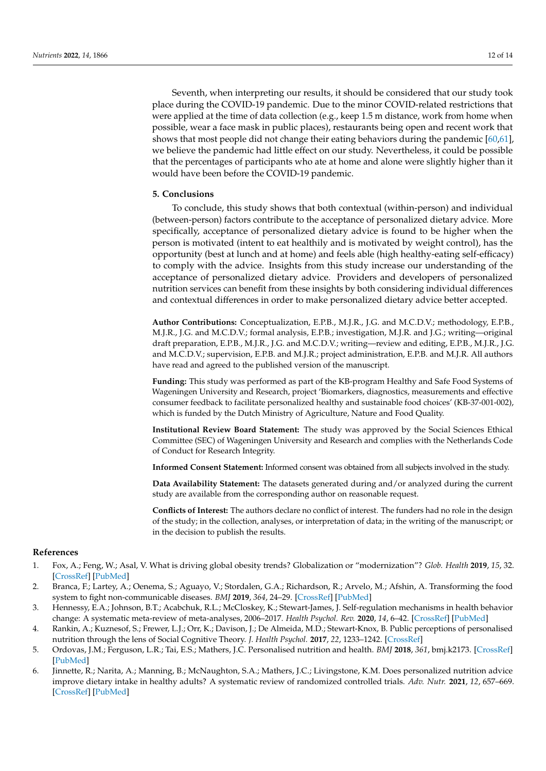Seventh, when interpreting our results, it should be considered that our study took place during the COVID-19 pandemic. Due to the minor COVID-related restrictions that were applied at the time of data collection (e.g., keep 1.5 m distance, work from home when possible, wear a face mask in public places), restaurants being open and recent work that shows that most people did not change their eating behaviors during the pandemic [\[60](#page-13-23)[,61\]](#page-13-24), we believe the pandemic had little effect on our study. Nevertheless, it could be possible that the percentages of participants who ate at home and alone were slightly higher than it would have been before the COVID-19 pandemic.

# **5. Conclusions**

To conclude, this study shows that both contextual (within-person) and individual (between-person) factors contribute to the acceptance of personalized dietary advice. More specifically, acceptance of personalized dietary advice is found to be higher when the person is motivated (intent to eat healthily and is motivated by weight control), has the opportunity (best at lunch and at home) and feels able (high healthy-eating self-efficacy) to comply with the advice. Insights from this study increase our understanding of the acceptance of personalized dietary advice. Providers and developers of personalized nutrition services can benefit from these insights by both considering individual differences and contextual differences in order to make personalized dietary advice better accepted.

**Author Contributions:** Conceptualization, E.P.B., M.J.R., J.G. and M.C.D.V.; methodology, E.P.B., M.J.R., J.G. and M.C.D.V.; formal analysis, E.P.B.; investigation, M.J.R. and J.G.; writing—original draft preparation, E.P.B., M.J.R., J.G. and M.C.D.V.; writing—review and editing, E.P.B., M.J.R., J.G. and M.C.D.V.; supervision, E.P.B. and M.J.R.; project administration, E.P.B. and M.J.R. All authors have read and agreed to the published version of the manuscript.

**Funding:** This study was performed as part of the KB-program Healthy and Safe Food Systems of Wageningen University and Research, project 'Biomarkers, diagnostics, measurements and effective consumer feedback to facilitate personalized healthy and sustainable food choices' (KB-37-001-002), which is funded by the Dutch Ministry of Agriculture, Nature and Food Quality.

**Institutional Review Board Statement:** The study was approved by the Social Sciences Ethical Committee (SEC) of Wageningen University and Research and complies with the Netherlands Code of Conduct for Research Integrity.

**Informed Consent Statement:** Informed consent was obtained from all subjects involved in the study.

**Data Availability Statement:** The datasets generated during and/or analyzed during the current study are available from the corresponding author on reasonable request.

**Conflicts of Interest:** The authors declare no conflict of interest. The funders had no role in the design of the study; in the collection, analyses, or interpretation of data; in the writing of the manuscript; or in the decision to publish the results.

## **References**

- <span id="page-11-0"></span>1. Fox, A.; Feng, W.; Asal, V. What is driving global obesity trends? Globalization or "modernization"? *Glob. Health* **2019**, *15*, 32. [\[CrossRef\]](http://doi.org/10.1186/s12992-019-0457-y) [\[PubMed\]](http://www.ncbi.nlm.nih.gov/pubmed/31029156)
- <span id="page-11-1"></span>2. Branca, F.; Lartey, A.; Oenema, S.; Aguayo, V.; Stordalen, G.A.; Richardson, R.; Arvelo, M.; Afshin, A. Transforming the food system to fight non-communicable diseases. *BMJ* **2019**, *364*, 24–29. [\[CrossRef\]](http://doi.org/10.1136/bmj.l296) [\[PubMed\]](http://www.ncbi.nlm.nih.gov/pubmed/30692128)
- <span id="page-11-2"></span>3. Hennessy, E.A.; Johnson, B.T.; Acabchuk, R.L.; McCloskey, K.; Stewart-James, J. Self-regulation mechanisms in health behavior change: A systematic meta-review of meta-analyses, 2006–2017. *Health Psychol. Rev.* **2020**, *14*, 6–42. [\[CrossRef\]](http://doi.org/10.1080/17437199.2019.1679654) [\[PubMed\]](http://www.ncbi.nlm.nih.gov/pubmed/31662031)
- <span id="page-11-3"></span>4. Rankin, A.; Kuznesof, S.; Frewer, L.J.; Orr, K.; Davison, J.; De Almeida, M.D.; Stewart-Knox, B. Public perceptions of personalised nutrition through the lens of Social Cognitive Theory. *J. Health Psychol.* **2017**, *22*, 1233–1242. [\[CrossRef\]](http://doi.org/10.1177/1359105315624750)
- <span id="page-11-4"></span>5. Ordovas, J.M.; Ferguson, L.R.; Tai, E.S.; Mathers, J.C. Personalised nutrition and health. *BMJ* **2018**, *361*, bmj.k2173. [\[CrossRef\]](http://doi.org/10.1136/bmj.k2173) [\[PubMed\]](http://www.ncbi.nlm.nih.gov/pubmed/29898881)
- <span id="page-11-5"></span>6. Jinnette, R.; Narita, A.; Manning, B.; McNaughton, S.A.; Mathers, J.C.; Livingstone, K.M. Does personalized nutrition advice improve dietary intake in healthy adults? A systematic review of randomized controlled trials. *Adv. Nutr.* **2021**, *12*, 657–669. [\[CrossRef\]](http://doi.org/10.1093/advances/nmaa144) [\[PubMed\]](http://www.ncbi.nlm.nih.gov/pubmed/33313795)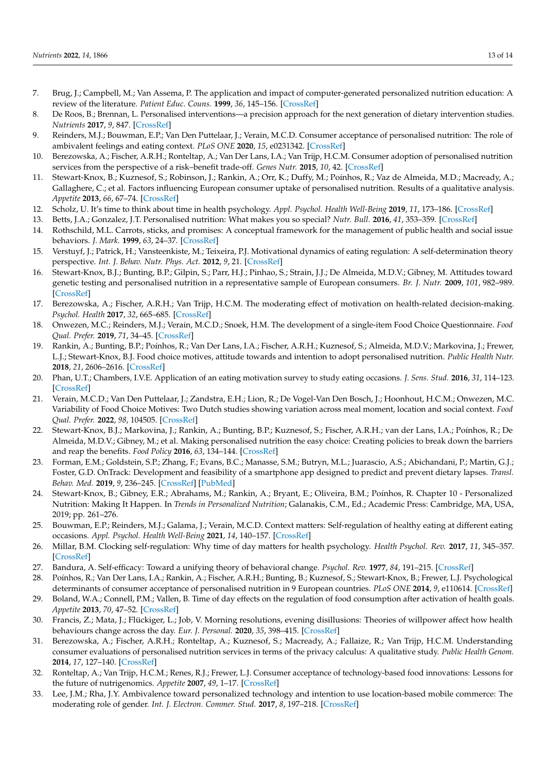- <span id="page-12-0"></span>7. Brug, J.; Campbell, M.; Van Assema, P. The application and impact of computer-generated personalized nutrition education: A review of the literature. *Patient Educ. Couns.* **1999**, *36*, 145–156. [\[CrossRef\]](http://doi.org/10.1016/S0738-3991(98)00131-1)
- <span id="page-12-1"></span>8. De Roos, B.; Brennan, L. Personalised interventions—a precision approach for the next generation of dietary intervention studies. *Nutrients* **2017**, *9*, 847. [\[CrossRef\]](http://doi.org/10.3390/nu9080847)
- <span id="page-12-2"></span>9. Reinders, M.J.; Bouwman, E.P.; Van Den Puttelaar, J.; Verain, M.C.D. Consumer acceptance of personalised nutrition: The role of ambivalent feelings and eating context. *PLoS ONE* **2020**, *15*, e0231342. [\[CrossRef\]](http://doi.org/10.1371/journal.pone.0231342)
- <span id="page-12-3"></span>10. Berezowska, A.; Fischer, A.R.H.; Ronteltap, A.; Van Der Lans, I.A.; Van Trijp, H.C.M. Consumer adoption of personalised nutrition services from the perspective of a risk–benefit trade-off. *Genes Nutr.* **2015**, *10*, 42. [\[CrossRef\]](http://doi.org/10.1007/s12263-015-0478-y)
- <span id="page-12-4"></span>11. Stewart-Knox, B.; Kuznesof, S.; Robinson, J.; Rankin, A.; Orr, K.; Duffy, M.; Poínhos, R.; Vaz de Almeida, M.D.; Macready, A.; Gallaghere, C.; et al. Factors influencing European consumer uptake of personalised nutrition. Results of a qualitative analysis. *Appetite* **2013**, *66*, 67–74. [\[CrossRef\]](http://doi.org/10.1016/j.appet.2013.03.001)
- <span id="page-12-5"></span>12. Scholz, U. It's time to think about time in health psychology. *Appl. Psychol. Health Well-Being* **2019**, *11*, 173–186. [\[CrossRef\]](http://doi.org/10.1111/aphw.12156)
- <span id="page-12-6"></span>13. Betts, J.A.; Gonzalez, J.T. Personalised nutrition: What makes you so special? *Nutr. Bull.* **2016**, *41*, 353–359. [\[CrossRef\]](http://doi.org/10.1111/nbu.12238)
- <span id="page-12-7"></span>14. Rothschild, M.L. Carrots, sticks, and promises: A conceptual framework for the management of public health and social issue behaviors. *J. Mark.* **1999**, *63*, 24–37. [\[CrossRef\]](http://doi.org/10.1177/002224299906300404)
- <span id="page-12-8"></span>15. Verstuyf, J.; Patrick, H.; Vansteenkiste, M.; Teixeira, P.J. Motivational dynamics of eating regulation: A self-determination theory perspective. *Int. J. Behav. Nutr. Phys. Act.* **2012**, *9*, 21. [\[CrossRef\]](http://doi.org/10.1186/1479-5868-9-21)
- <span id="page-12-9"></span>16. Stewart-Knox, B.J.; Bunting, B.P.; Gilpin, S.; Parr, H.J.; Pinhao, S.; Strain, J.J.; De Almeida, M.D.V.; Gibney, M. Attitudes toward genetic testing and personalised nutrition in a representative sample of European consumers. *Br. J. Nutr.* **2009**, *101*, 982–989. [\[CrossRef\]](http://doi.org/10.1017/S0007114508055657)
- <span id="page-12-10"></span>17. Berezowska, A.; Fischer, A.R.H.; Van Trijp, H.C.M. The moderating effect of motivation on health-related decision-making. *Psychol. Health* **2017**, *32*, 665–685. [\[CrossRef\]](http://doi.org/10.1080/08870446.2017.1293055)
- <span id="page-12-11"></span>18. Onwezen, M.C.; Reinders, M.J.; Verain, M.C.D.; Snoek, H.M. The development of a single-item Food Choice Questionnaire. *Food Qual. Prefer.* **2019**, *71*, 34–45. [\[CrossRef\]](http://doi.org/10.1016/j.foodqual.2018.05.005)
- <span id="page-12-12"></span>19. Rankin, A.; Bunting, B.P.; Poínhos, R.; Van Der Lans, I.A.; Fischer, A.R.H.; Kuznesof, S.; Almeida, M.D.V.; Markovina, J.; Frewer, L.J.; Stewart-Knox, B.J. Food choice motives, attitude towards and intention to adopt personalised nutrition. *Public Health Nutr.* **2018**, *21*, 2606–2616. [\[CrossRef\]](http://doi.org/10.1017/S1368980018001234)
- <span id="page-12-13"></span>20. Phan, U.T.; Chambers, I.V.E. Application of an eating motivation survey to study eating occasions. *J. Sens. Stud.* **2016**, *31*, 114–123. [\[CrossRef\]](http://doi.org/10.1111/joss.12197)
- <span id="page-12-14"></span>21. Verain, M.C.D.; Van Den Puttelaar, J.; Zandstra, E.H.; Lion, R.; De Vogel-Van Den Bosch, J.; Hoonhout, H.C.M.; Onwezen, M.C. Variability of Food Choice Motives: Two Dutch studies showing variation across meal moment, location and social context. *Food Qual. Prefer.* **2022**, *98*, 104505. [\[CrossRef\]](http://doi.org/10.1016/j.foodqual.2021.104505)
- <span id="page-12-15"></span>22. Stewart-Knox, B.J.; Markovina, J.; Rankin, A.; Bunting, B.P.; Kuznesof, S.; Fischer, A.R.H.; van der Lans, I.A.; Poínhos, R.; De Almeida, M.D.V.; Gibney, M.; et al. Making personalised nutrition the easy choice: Creating policies to break down the barriers and reap the benefits. *Food Policy* **2016**, *63*, 134–144. [\[CrossRef\]](http://doi.org/10.1016/j.foodpol.2016.08.001)
- <span id="page-12-16"></span>23. Forman, E.M.; Goldstein, S.P.; Zhang, F.; Evans, B.C.; Manasse, S.M.; Butryn, M.L.; Juarascio, A.S.; Abichandani, P.; Martin, G.J.; Foster, G.D. OnTrack: Development and feasibility of a smartphone app designed to predict and prevent dietary lapses. *Transl. Behav. Med.* **2019**, *9*, 236–245. [\[CrossRef\]](http://doi.org/10.1093/tbm/iby016) [\[PubMed\]](http://www.ncbi.nlm.nih.gov/pubmed/29617911)
- <span id="page-12-17"></span>24. Stewart-Knox, B.; Gibney, E.R.; Abrahams, M.; Rankin, A.; Bryant, E.; Oliveira, B.M.; Poínhos, R. Chapter 10 - Personalized Nutrition: Making It Happen. In *Trends in Personalized Nutrition*; Galanakis, C.M., Ed.; Academic Press: Cambridge, MA, USA, 2019; pp. 261–276.
- <span id="page-12-18"></span>25. Bouwman, E.P.; Reinders, M.J.; Galama, J.; Verain, M.C.D. Context matters: Self-regulation of healthy eating at different eating occasions. *Appl. Psychol. Health Well-Being* **2021**, *14*, 140–157. [\[CrossRef\]](http://doi.org/10.1111/aphw.12295)
- <span id="page-12-19"></span>26. Millar, B.M. Clocking self-regulation: Why time of day matters for health psychology. *Health Psychol. Rev.* **2017**, *11*, 345–357. [\[CrossRef\]](http://doi.org/10.1080/17437199.2017.1316673)
- <span id="page-12-20"></span>27. Bandura, A. Self-efficacy: Toward a unifying theory of behavioral change. *Psychol. Rev.* **1977**, *84*, 191–215. [\[CrossRef\]](http://doi.org/10.1037/0033-295X.84.2.191)
- <span id="page-12-21"></span>28. Poínhos, R.; Van Der Lans, I.A.; Rankin, A.; Fischer, A.R.H.; Bunting, B.; Kuznesof, S.; Stewart-Knox, B.; Frewer, L.J. Psychological determinants of consumer acceptance of personalised nutrition in 9 European countries. *PLoS ONE* **2014**, *9*, e110614. [\[CrossRef\]](http://doi.org/10.1371/journal.pone.0110614)
- <span id="page-12-22"></span>29. Boland, W.A.; Connell, P.M.; Vallen, B. Time of day effects on the regulation of food consumption after activation of health goals. *Appetite* **2013**, *70*, 47–52. [\[CrossRef\]](http://doi.org/10.1016/j.appet.2013.06.085)
- <span id="page-12-23"></span>30. Francis, Z.; Mata, J.; Flückiger, L.; Job, V. Morning resolutions, evening disillusions: Theories of willpower affect how health behaviours change across the day. *Eur. J. Personal.* **2020**, *35*, 398–415. [\[CrossRef\]](http://doi.org/10.1177/0890207020962304)
- <span id="page-12-24"></span>31. Berezowska, A.; Fischer, A.R.H.; Ronteltap, A.; Kuznesof, S.; Macready, A.; Fallaize, R.; Van Trijp, H.C.M. Understanding consumer evaluations of personalised nutrition services in terms of the privacy calculus: A qualitative study. *Public Health Genom.* **2014**, *17*, 127–140. [\[CrossRef\]](http://doi.org/10.1159/000358851)
- <span id="page-12-25"></span>32. Ronteltap, A.; Van Trijp, H.C.M.; Renes, R.J.; Frewer, L.J. Consumer acceptance of technology-based food innovations: Lessons for the future of nutrigenomics. *Appetite* **2007**, *49*, 1–17. [\[CrossRef\]](http://doi.org/10.1016/j.appet.2007.02.002)
- <span id="page-12-26"></span>33. Lee, J.M.; Rha, J.Y. Ambivalence toward personalized technology and intention to use location-based mobile commerce: The moderating role of gender. *Int. J. Electron. Commer. Stud.* **2017**, *8*, 197–218. [\[CrossRef\]](http://doi.org/10.7903/ijecs.1526)